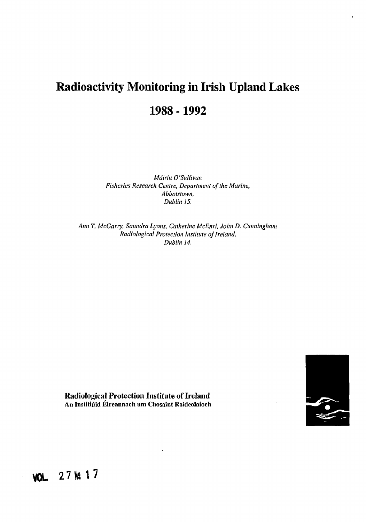# **Radioactivity Monitoring in Irish Upland Lakes 1988 -1992**

*Mdirfn O'Sullivan Fisheries Research Centre, Department of the Marine,* Abbotstown, *Dublin 15.*

*Ann T. McGarry, Saundra Lyons, Catherine McEnri, John D. Cunningham Radiological Protection Institute of Ireland, Dublin 14.*



**Radiological Protection Institute of Ireland An Institiuid Eireannach urn Chosaint Raidcolaioch**

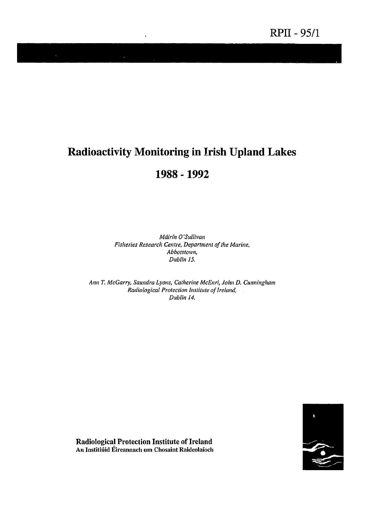# **Radioactivity Monitoring in Irish Upland Lakes**

 $\overline{1}$ 

# **1988 -1992**

*Mdirtn 0'Sullivan Fisheries Research Centre, Department of the Marine, Abbotstown, Dublin 15.*

*Ann T. McGarry, Saundra Lyons, Catherine McEnri, John D. Cunningham Radiological Protection Institute of Ireland, Dublin 14.*



**Radiological Protection Institute of Ireland An Institiuid Eircannach um Chosaint Raideolaioch**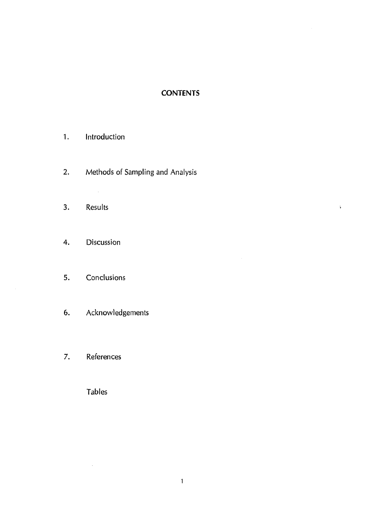### **CONTENTS**

 $\hat{\mathcal{L}}$ 

 $\hat{\mathbf{r}}$ 

### 1. Introduction

 $\bar{\mathcal{A}}$ 

- 2. Methods of Sampling and Analysis
- 3. Results
- 4. Discussion

# 5. Conclusions

- 6. Acknowledgements
- 7. References

Tables

 $\mathcal{A}^{\mathcal{A}}$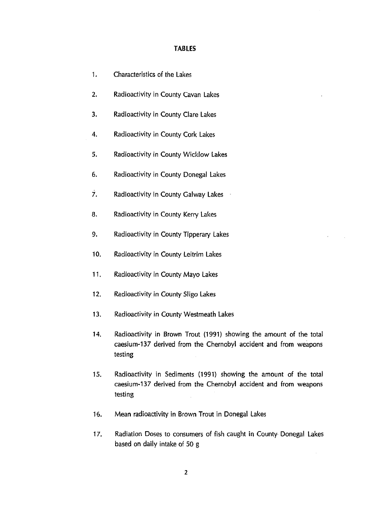| 1.  | Characteristics of the Lakes                                                                                                                       |
|-----|----------------------------------------------------------------------------------------------------------------------------------------------------|
| 2.  | Radioactivity in County Cavan Lakes                                                                                                                |
| 3.  | Radioactivity in County Clare Lakes                                                                                                                |
| 4.  | Radioactivity in County Cork Lakes                                                                                                                 |
| 5.  | Radioactivity in County Wicklow Lakes                                                                                                              |
| 6.  | Radioactivity in County Donegal Lakes                                                                                                              |
| 7.  | Radioactivity in County Galway Lakes                                                                                                               |
| 8.  | Radioactivity in County Kerry Lakes                                                                                                                |
| 9.  | Radioactivity in County Tipperary Lakes                                                                                                            |
| 10. | Radioactivity in County Leitrim Lakes                                                                                                              |
| 11. | Radioactivity in County Mayo Lakes                                                                                                                 |
| 12. | Radioactivity in County Sligo Lakes                                                                                                                |
| 13. | Radioactivity in County Westmeath Lakes                                                                                                            |
| 14. | Radioactivity in Brown Trout (1991) showing the amount of the total<br>caesium-137 derived from the Chernobyl accident and from weapons<br>testing |
| 15. | Radioactivity in Sediments (1991) showing the amount of the total<br>caesium-137 derived from the Chernobyl accident and from weapons<br>testing   |
| 16. | Mean radioactivity in Brown Trout in Donegal Lakes                                                                                                 |

 $\bar{\epsilon}$ 

17. Radiation Doses to consumers of fish caught in County Donegal Lakes based on daily intake of 50 g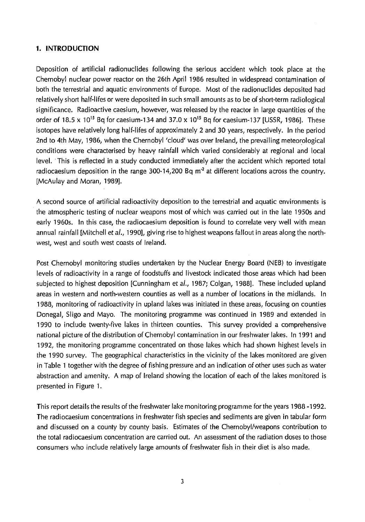#### **1. INTRODUCTION**

Deposition of artificial radionuclides following the serious accident which took place at the Chernobyl nuclear power reactor on the 26th April 1986 resulted in widespread contamination of both the terrestrial and aquatic environments of Europe. Most of the radionuclides deposited had relatively short half-lifes or were deposited in such small amounts as to be of short-term radiological significance. Radioactive caesium, however, was released by the reactor in large quantities of the order of 18.5 x 10<sup>15</sup> Bq for caesium-134 and 37.0 x 10<sup>15</sup> Bq for caesium-137 [USSR, 1986]. These isotopes have relatively long half-lifes of approximately 2 and 30 years, respectively. In the period 2nd to 4th May, 1986, when the Chernobyl 'cloud' was over Ireland, the prevailing meteorological conditions were characterised by heavy rainfall which varied considerably at regional and local level. This is reflected in a study conducted immediately after the accident which reported total radiocaesium deposition in the range 300-14,200 Bq  $m<sup>2</sup>$  at different locations across the country. [McAulay and Moran, 1989].

A second source of artificial radioactivity deposition to the terrestrial and aquatic environments is the atmospheric testing of nuclear weapons most of which was carried out in the late 1950s and early 1960s. In this case, the radiocaesium deposition is found to correlate very well with mean annual rainfall [Mitchell et al., 1990], giving rise to highest weapons fallout in areas along the northwest, west and south west coasts of Ireland.

Post Chernobyl monitoring studies undertaken by the Nuclear Energy Board (NEB) to investigate levels of radioactivity in a range of foodstuffs and livestock indicated those areas which had been subjected to highest deposition [Cunningham et al., 1987; Colgan, 1988]. These included upland areas in western and north-western counties as well as a number of locations in the midlands. In 1988, monitoring of radioactivity in upland lakes was initiated in these areas, focusing on counties Donegal, Sligo and Mayo. The monitoring programme was continued in 1989 and extended in 1990 to include twenty-five lakes in thirteen counties. This survey provided a comprehensive national picture of the distribution of Chernobyl contamination in our freshwater lakes. In 1991 and 1992, the monitoring programme concentrated on those lakes which had shown highest levels in the 1990 survey. The geographical characteristics in the vicinity of the lakes monitored are given in Table 1 together with the degree of fishing pressure and an indication of other uses such as water abstraction and amenity. A map of Ireland showing the location of each of the lakes monitored is presented in Figure 1.

This report details the results of the freshwater lake monitoring programme for the years 1988 -1992. The radiocaesium concentrations in freshwater fish species and sediments are given in tabular form and discussed on a county by county basis. Estimates of the Chernobyl/weapons contribution to the total radiocaesium concentration are carried out. An assessment of the radiation doses to those consumers who include relatively large amounts of freshwater fish in their diet is also made.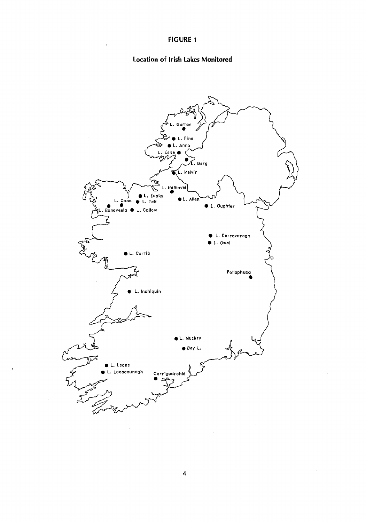### **Location of Irish Lakes Monitored**

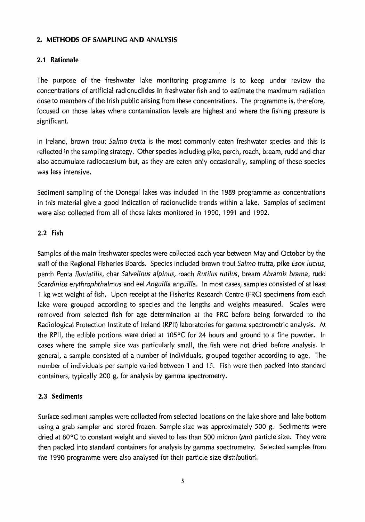### **2. METHODS OF SAMPLING AND ANALYSIS**

### **2.1 Rationale**

The purpose of the freshwater lake monitoring programme is to keep under review the concentrations of artificial radionuclides in freshwater fish and to estimate the maximum radiation dose to members of the Irish public arising from these concentrations. The programme is, therefore, focused on those lakes where contamination levels are highest and where the fishing pressure is significant.

In Ireland, brown trout Salmo trutta is the most commonly eaten freshwater species and this is reflected in the sampling strategy. Other species including pike, perch, roach, bream, rudd and char also accumulate radiocaesium but, as they are eaten only occasionally, sampling of these species was less intensive.

Sediment sampling of the Donegal lakes was included in the 1989 programme as concentrations in this material give a good indication of radionuclide trends within a lake. Samples of sediment were also collected from all of those lakes monitored in 1990, 1991 and 1992.

### 2.2 Fish

Samples of the main freshwater species were collected each year between May and October by the staff of the Regional Fisheries Boards. Species included brown trout Salmo trutta, pike Esox lucius, perch Perca fluviatilis, char Salvelinus alpinus, roach Rutilus rutilus, bream Abramis brama, rudd Scardinius erythrophthalmus and eel Anguilla anguilla. In most cases, samples consisted of at least 1 kg wet weight of fish. Upon receipt at the Fisheries Research Centre (FRC) specimens from each lake were grouped according to species and the lengths and weights measured. Scales were removed from selected fish for age determination at the FRC before being forwarded to the Radiological Protection Institute of Ireland (RPII) laboratories for gamma spectrometric analysis. At the RPII, the edible portions were dried at 105 $\degree$ C for 24 hours and ground to a fine powder. In cases where the sample size was particularly small, the fish were not dried before analysis. In general, a sample consisted of a number of individuals, grouped together according to age. The number of individuals per sample varied between 1 and 15. Fish were then packed into standard containers, typically 200 g, for analysis by gamma spectrometry.

### 2.3 Sediments

Surface sediment samples were collected from selected locations on the lake shore and lake bottom using a grab sampler and stored frozen. Sample size was approximately 500 g. Sediments were dried at 80 $\degree$ C to constant weight and sieved to less than 500 micron ( $\mu$ m) particle size. They were then packed into standard containers for analysis by gamma spectrometry. Selected samples from the 1990 programme were also analysed for their particle size distribution.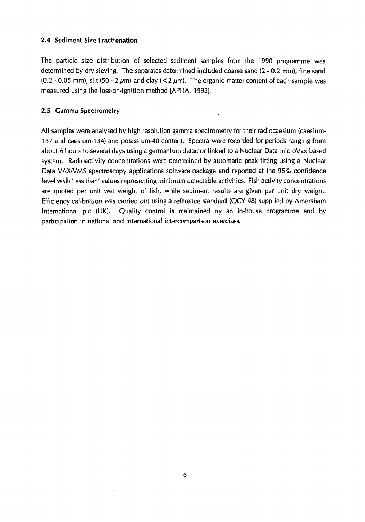### **2.4 Sediment Size Fractionation**

The particle size distribution of selected sediment samples from the 1990 programme was determined by dry sieving, The separates determined included coarse sand (2 - 0,2 mm), fine sand (0.2 - 0.05 mm), silt (50 - 2  $\mu$ m) and clay (< 2  $\mu$ m). The organic matter content of each sample was measured using the loss-on-ignition method [APHA, 1992],

### **2.5 Gamma Spectrometry**

All samples were analysed by high resolution gamma spectrometry for their radiocaesium (caesium-137 and caesium-134) and potassium-40 content. Spectra were recorded for periods ranging from about 6 hours to several days using a germanium detector linked to a Nuclear Data microVax based system. Radioactivity concentrations were determined by automatic peak fitting using a Nuclear Data VAX/VMS spectroscopy applications software package and reported at the 95% confidence level with 'less than' values representing minimum detectable activities. Fish activity concentrations are quoted per unit wet weight of fish, while sediment results are given per unit dry weight. Efficiency calibration was carried out using a reference standard (QCY 48) supplied by Amersham International pic (UK). Quality control is maintained by an in-house programme and by participation in national and international intercomparison exercises.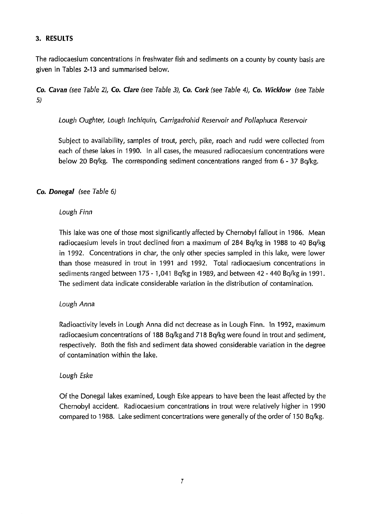### **3. RESULTS**

The radiocaesium concentrations in freshwater fish and sediments on a county by county basis are given in Tables 2-13 and summarised below.

**Co. Cavan** (see Table 2), **Co. Clare** (see Table 3), **Co. Cork** (see Table 4), **Co. Wicklow** (see Table 5)

Lough Oughter, Lough Inchiquin, Carrigadrohid Reservoir and Pollaphuca Reservoir

Subject to availability, samples of trout, perch, pike, roach and rudd were collected from each of these lakes in 1990. In all cases, the measured radiocaesium concentrations were below 20 Bq/kg. The corresponding sediment concentrations ranged from 6-37 Bq/kg.

### **Co. Donegal** (see Table 6)

### Lough Finn

This lake was one of those most significantly affected by Chernobyl fallout in 1986. Mean radiocaesium levels in trout declined from a maximum of 284 Bq/kg in 1988 to 40 Bq/kg in 1992. Concentrations in char, the only other species sampled in this lake, were lower than those measured in trout in 1991 and 1992. Total radiocaesium concentrations in sediments ranged between 175-1,041 Bqfkgin 1989, and between 42-440 Bq/kg in 1991. The sediment data indicate considerable variation in the distribution of contamination.

#### Lough Anna

Radioactivity levels in Lough Anna did not decrease as in Lough Finn. In 1992, maximum radiocaesium concentrations of 188 Bq/kg and 718 Bq/kg were found in trout and sediment, respectively. Both the fish and sediment data showed considerable variation in the degree of contamination within the lake.

#### Lough Eske

Of the Donegal lakes examined, Lough Eske appears to have been the least affected by the Chernobyl accident. Radiocaesium concentrations in trout were relatively higher in 1990 compared to 1988. Lake sediment concentrations were generally of the order of 150 Bq/kg.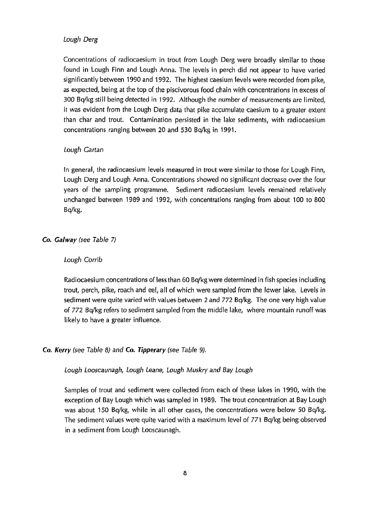#### Lough Derg

Concentrations of radiocaesium in trout from Lough Derg were broadly similar to those found in Lough Finn and Lough Anna. The levels in perch did not appear to have varied significantly between 1990 and 1992. The highest caesium levels were recorded from pike, as expected, being at the top of the piscivorous food chain with concentrations in excess of 300 Bq/kg still being detected in 1992. Although the number of measurements are limited, it was evident from the Lough Derg data that pike accumulate caesium to a greater extent than char and trout. Contamination persisted in the lake sediments, with radiocaesium concentrations ranging between 20 and 530 Bq/kg in 1991.

#### Lough Cartan

In general, the radiocaesium levels measured in trout were similar to those for Lough Finn, Lough Derg and Lough Anna. Concentrations showed no significant decrease over the four years of the sampling programme. Sediment radiocaesium levels remained relatively unchanged between 1989 and 1992, with concentrations ranging from about 100 to 800 Bq/kg.

#### Co. Galway (see Table 7)

#### Lough Corrib

Radiocaesium concentrations of less than 60 Bq/kg were determined in fish species including trout, perch, pike, roach and eel, all of which were sampled from the lower lake. Levels in sediment were quite varied with values between 2 and  $772$  Bq/kg. The one very high value of 772 Bq/kg refers to sediment sampled from the middle lake, where mountain runoff was likely to have a greater influence.

#### Co. Kerry (see Table 8) and Co. Tipperary (see Table 9).

#### Lough Looscaunagh, Lough Leans, Lough Muskry and Bay Lough

Samples of trout and sediment were collected from each of these lakes in 1990, with the exception of Bay Lough which was sampled in 1989. The trout concentration at Bay Lough was about 150 Bq/kg, while in all other cases, the concentrations were below 50 Bq/kg. The sediment values were quite varied with a maximum level of 771 Bq/kg being observed in a sediment from Lough Looscaunagh.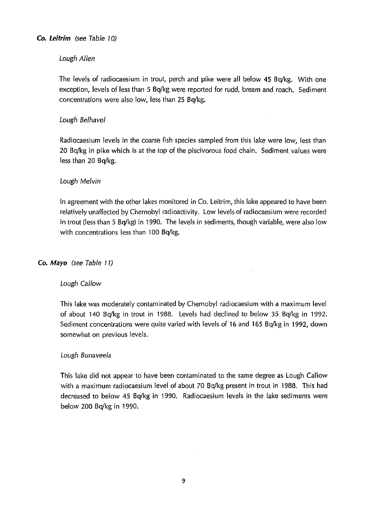### Lough Allen

The levels of radiocaesium in trout, perch and pike were all below 45 Bq/kg. With one exception, levels of less than 5 Bq/kg were reported for rudd, bream and roach. Sediment concentrations were also low, less than 25 Bq/kg.

 $\sim$ 

### Lough Belhavel

Radiocaesium levels in the coarse fish species sampled from this lake were low, less than 20 Bq/kg in pike which is at the top of the piscivorous food chain. Sediment values were less than 20 Bq/kg.

### Lough Melvin

In agreement with the other lakes monitored in Co. Leitrim, this lake appeared to have been relatively unaffected by Chernobyl radioactivity. Low levels of radiocaesium were recorded in trout (less than 5 Bq/kg) in 1990. The levels in sediments, though variable, were also low with concentrations less than 100 Bq/kg.

### Co. **Mayo** (see Table 11)

#### Lough Callow

This lake was moderately contaminated by Chernobyl radiocaesium with a maximum level of about 140 Bq/kg in trout in 1988. Levels had declined to below 35 Bq/kg in 1992. Sediment concentrations were quite varied with levels of 16 and 165 Bq/kg in 1992, down somewhat on previous levels.

#### Lough Bunaveela

This lake did not appear to have been contaminated to the same degree as Lough Callow with a maximum radiocaesium level of about 70 Bq/kg present in trout in 1988. This had decreased to below 45 Bq/kg in 1990. Radiocaesium levels in the lake sediments were below 200 Bq/kg in 1990.

 $\mathcal{A}$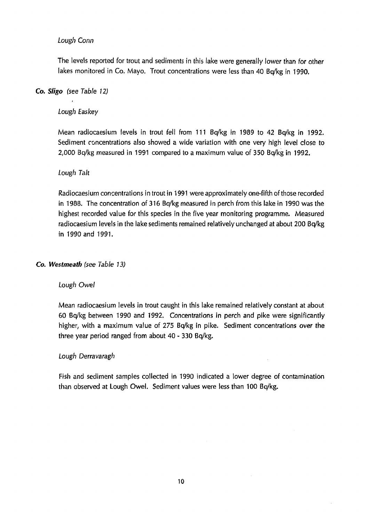### Lough Conn

The levels reported for trout and sediments in this lake were generally lower than for other lakes monitored in Co. Mayo. Trout concentrations were less than 40 Bq/kg in 1990.

### Co. Sligo (see Table 12)

### Lough Easkey

Mean radiocaesium levels in trout fell from 111 Bq/kg in 1989 to 42 Bq/kg in 1992. Sediment concentrations also showed a wide variation with one very high level close to 2,000 Bq/kg measured in 1991 compared to a maximum value of 350 Bq/kg in 1992.

### Lough Ta/t

Radiocaesium concentrations in trout in 1991 were approximately one-fifth of those recorded in 1988. The concentration of 316 B $q/kg$  measured in perch from this lake in 1990 was the highest recorded value for this species in the five year monitoring programme. Measured radiocaesium levels in the lake sediments remained relatively unchanged at about 200 Bq/kg in 1990 and 1991.

### Co. Westmeath (see Table 13)

#### Lough Owel

Mean radiocaesium levels in trout caught in this lake remained relatively constant at about 60 Bq/kg between 1990 and 1992. Concentrations in perch and pike were significantly higher, with a maximum value of 275 Bq/kg in pike. Sediment concentrations over the three year period ranged from about 40 - 330 Bq/kg.

#### Lough Derravaragh

Fish and sediment samples collected in 1990 indicated a lower degree of contamination than observed at Lough Owel. Sediment values were less than 100 Bq/kg.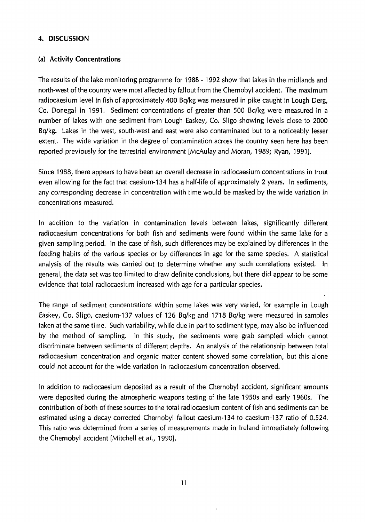### **4. DISCUSSION**

### **(a) Activity Concentrations**

The results of the lake monitoring programme for 1988 - 1992 show that lakes in the midlands and north-west of the country were most affected by fallout from the Chernobyl accident. The maximum radiocaesium level in fish of approximately 400 Bq/kg was measured in pike caught in Lough Derg, Co. Donegal in 1991. Sediment concentrations of greater than 500 Bq/kg were measured in a number of lakes with one sediment from Lough Easkey, Co. Sligo showing levels close to 2000 Bq/kg. Lakes in the west, south-west and east were also contaminated but to a noticeably lesser extent. The wide variation in the degree of contamination across the country seen here has been reported previously for the terrestrial environment [McAulay and Moran, 1989; Ryan, 1991].

Since 1988, there appears to have been an overall decrease in radiocaesium concentrations in trout even allowing for the fact that caesium-134 has a half-life of approximately 2 years. In sediments, any corresponding decrease in concentration with time would be masked by the wide variation in concentrations measured.

In addition to the variation in contamination levels between lakes, significantly different radiocaesium concentrations for both fish and sediments were found within the same lake for a given sampling period. In the case of fish, such differences may be explained by differences in the feeding habits of the various species or by differences in age for the same species. A statistical analysts of the results was carried out to determine whether any such correlations existed. In general, the data set was too limited to draw definite conclusions, but there did appear to be some evidence that total radiocaesium increased with age for a particular species.

The range of sediment concentrations within some lakes was very varied, for example in Lough Easkey, Co. Sligo, caesium-137 values of 126 Bq/kg and 1718 Bq/kg were measured in samples taken at the same time. Such variability, while due in part to sediment type, may also be influenced by the method of sampling. In this study, the sediments were grab sampled which cannot discriminate between sediments of different depths. An analysis of the relationship between total radiocaesium concentration and organic matter content showed some correlation, but this alone could not account for the wide variation in radiocaesium concentration observed.

In addition to radiocaesium deposited as a result of the Chernobyl accident, significant amounts were deposited during the atmospheric weapons testing of the late 1950s and early 1960s. The contribution of both of these sources to the total radiocaesium content of fish and sediments can be estimated using a decay corrected Chernobyl fallout caesium-134 to caesium-137 ratio of 0.524. This ratio was determined from a series of measurements made in Ireland immediately following the Chernobyl accident [Mitchell et a/., 1990].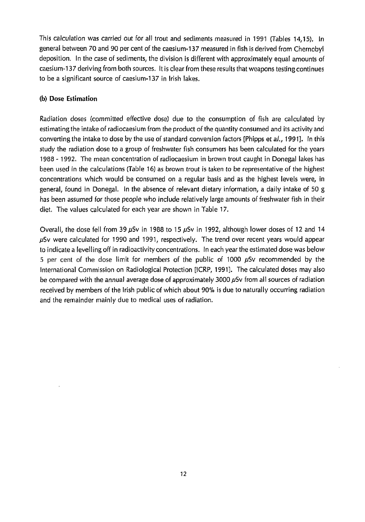This calculation was carried out for all trout and sediments measured in 1991 {Tables 14,15), In general between 70 and 90 per cent of the caesium-137 measured in fish is derived from Chernobyl deposition. In the case of sediments, the division is different with approximately equal amounts of caesium-137 deriving from both sources. It is clear from these results that weapons testing continues to be a significant source of caesium-137 in Irish lakes.

### (b) Dose Estimation

Radiation doses (committed effective dose) due to the consumption of fish are calculated by estimating the intake of radiocaesium from the product of the quantity consumed and its activity and converting the intake to dose by the use of standard conversion factors [Phipps et al., 1991]. In this study the radiation dose to a group of freshwater fish consumers has been calculated for the years 1988 -1992. The mean concentration of radiocaesium in brown trout caught in Donegal lakes has been used in the calculations (Table 16) as brown trout is taken to be representative of the highest concentrations which would be consumed on a regular basis and as the highest levels were, in general, found in Donegal. In the absence of relevant dietary infprmation, a daily intake of 50 g has been assumed for those people who include relatively large amounts of freshwater fish in their diet. The values calculated for each year are shown in Table 17,

Overall, the dose fell from 39  $\mu$ Sv in 1988 to 15  $\mu$ Sv in 1992, although lower doses of 12 and 14  $\mu$ Sv were calculated for 1990 and 1991, respectively. The trend over recent years would appear to indicate a levelling off in radioactivity concentrations. In each year the estimated dose was below 5 per cent of the dose limit for members of the public of 1000  $\mu$ Sv recommended by the International Commission on Radiological Protection [ICRP, 1991]. The calculated doses may also be compared with the annual average dose of approximately 3000  $\mu$ Sv from all sources of radiation received by members of the Irish public of which about 90% is due to naturally occurring radiation and the remainder mainly due to medical uses of radiation.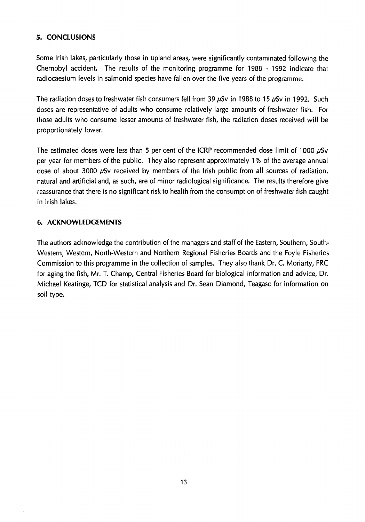### **5. CONCLUSIONS**

Some Irish lakes, particularly those in upland areas, were significantly contaminated following the Chernobyl accident. The results of the monitoring programme for 1988 - 1992 indicate that radiocaesium levels in salmonid species have fallen over the five years of the programme.

The radiation doses to freshwater fish consumers fell from 39  $\mu$ Sv in 1988 to 15  $\mu$ Sv in 1992. Such doses are representative of adults who consume relatively large amounts of freshwater fish. For those adults who consume lesser amounts of freshwater fish, the radiation doses received will be proportionately lower.

The estimated doses were less than 5 per cent of the ICRP recommended dose limit of 1000  $\mu$ Sv per year for members of the public. They also represent approximately 1% of the average annual dose of about 3000  $\mu$ Sv received by members of the Irish public from all sources of radiation, natural and artificial and, as such, are of minor radiological significance. The results therefore give reassurance that there is no significant risk to health from the consumption of freshwater fish caught in Irish lakes.

### 6. **ACKNOWLEDGEMENTS**

The authors acknowledge the contribution of the managers and staff of the Eastern, Southern, Southwestern, Western, North-Western and Northern Regional Fisheries Boards and the Foyle Fisheries Commission to this programme in the collection of samples. They also thank Dr. C. Moriarty, FRC for aging the fish, Mr. T. Champ, Central Fisheries Board for biological information and advice, Dr. Michael Keatinge, TCD for statistical analysis and Dr. Sean Diamond, Teagasc for information on soil type.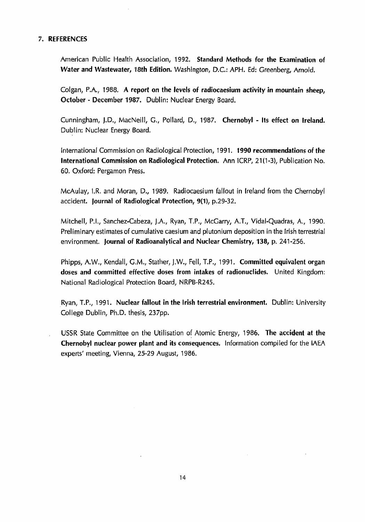#### **7. REFERENCES**

American Public Health Association, 1992, **Standard Methods for the Examination of Water and Wastewater, 18th Edition.** Washington, D.C.: APH. Ed: Greenberg, Arnold.

Colgan, P.A., 1988. A report on the levels of radiocaesium activity in mountain sheep, **October - December 1987.** Dublin: Nuclear Energy Board.

Cunningham, J.D., MacNeill, G., Pollard, D., 1987. Chernobyl - Its effect on Ireland. Dublin: Nuclear Energy Board.

International Commission on Radiological Protection, 1991. **1990 recommendations of the International Commission on Radiological Protection.** Ann ICRP, 21(1-3), Publication No. 60. Oxford: Pergamon Press.

McAulay, I.R. and Moran, D., 1989. Radiocaesium fallout in Ireland from the Chernobyl accident. **Journal of Radiological Protection, 9(1),** p.29-32.

Mitchell, P.I., Sanchez-Cabeza, J.A., Ryan, T.P., McGarry, A.T., Vidal-Quadras, A., 1990. Preliminary estimates of cumulative caesium and plutonium deposition in the Irish terrestrial environment. **Journal of Radioanalytical and Nuclear Chemistry, 138,** p. 241-256.

Phipps, A.W., Kendall, G.M., Stather, J.W., Fell, T.P., 1991. **Committed equivalent organ doses and committed effective doses from intakes of radionuclides.** United Kingdom: National Radiological Protection Board, NRPB-R245.

Ryan, T.P., 1991. **Nuclear fallout in the Irish terrestrial environment.** Dublin: University College Dublin, Ph.D. thesis, 237pp.

USSR State Committee on the Utilisation of Atomic Energy, 1986. **The accident at the Chernobyl nuclear power plant and its** consequences. Information compiled for the IAEA experts' meeting, Vienna, 25-29 August, 1986.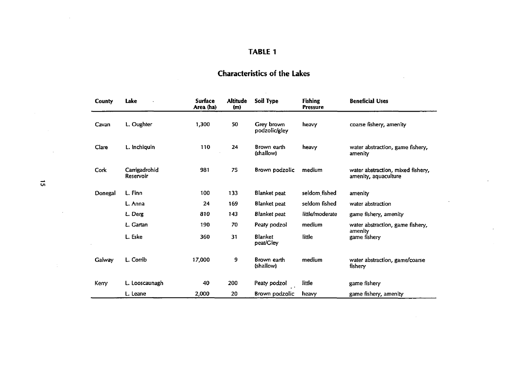# **Characteristics of the Lakes**

 $\sim 10^7$ 

 $\mathcal{L}^{\mathcal{L}}$ 

 $\mathbf{r}$ 

 $\lambda$ 

| County  | Lake                       | <b>Surface</b><br>Area (ha) | <b>Altitude</b><br>(m) | Soil Type                   | <b>Fishing</b><br><b>Pressure</b> | <b>Beneficial Uses</b>                                    |
|---------|----------------------------|-----------------------------|------------------------|-----------------------------|-----------------------------------|-----------------------------------------------------------|
| Cavan   | L. Oughter                 | 1,300                       | 50                     | Grey brown<br>podzolic/gley | heavy                             | coarse fishery, amenity                                   |
| Clare   | L. Inchiquin               | 110                         | 24                     | Brown earth<br>(shallow)    | heavy                             | water abstraction, game fishery,<br>amenity               |
| Cork    | Carrigadrohid<br>Reservoir | 981                         | 75                     | Brown podzolic              | medium                            | water abstraction, mixed fishery,<br>amenity, aquaculture |
| Donegal | L. Finn                    | 100                         | 133                    | <b>Blanket</b> peat         | seldom fished                     | amenity                                                   |
|         | L. Anna                    | 24                          | 169                    | <b>Blanket peat</b>         | seldom fished                     | water abstraction                                         |
|         | L. Derg                    | 810                         | 143                    | <b>Blanket</b> peat         | little/moderate                   | game fishery, amenity                                     |
|         | L. Gartan                  | 190                         | 70                     | Peaty podzol                | medium                            | water abstraction, game fishery,                          |
|         | L. Eske                    | 360                         | 31                     | <b>Blanket</b><br>peat/Gley | little                            | amenity<br>game fishery                                   |
| Galway  | L. Corrib                  | 17,000                      | 9                      | Brown earth<br>(shallow)    | medium                            | water abstraction, game/coarse<br>fishery                 |
| Kerry   | L. Looscaunagh             | 40                          | 200                    | Peaty podzol                | little                            | game fishery                                              |
|         | L. Leane                   | 2,000                       | 20                     | Brown podzolic              | heavy                             | game fishery, amenity                                     |

*Ul*

 $\sim$ 

 $\sim$ 

 $\sim 10^7$ 

 $\sim 10^7$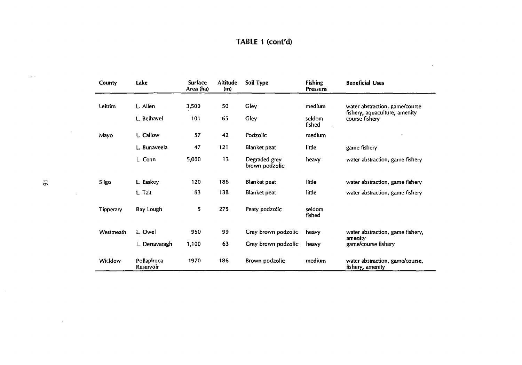# **TABLE 1 (cont'd)**

 $\Delta$ 

| <b>County</b>    | Lake                    | <b>Surface</b><br>Area (ha) | <b>Altitude</b><br>(m) | Soil Type                       | <b>Fishing</b><br><b>Pressure</b> | <b>Beneficial Uses</b>                              |
|------------------|-------------------------|-----------------------------|------------------------|---------------------------------|-----------------------------------|-----------------------------------------------------|
| Leitrim          | L. Allen                | 3,500                       | 50                     | Gley                            | medium                            | water abstraction, game/course                      |
|                  | L. Belhavel             | 101                         | 65                     | Gley                            | seldom<br>fished                  | fishery, aquaculture, amenity<br>course fishery     |
| Mayo             | L. Callow               | 57                          | 42                     | <b>Podzolic</b>                 | medium                            |                                                     |
|                  | L. Bunaveela            | 47                          | 121                    | <b>Blanket peat</b>             | little                            | game fishery                                        |
|                  | L. Conn                 | 5,000                       | 13                     | Degraded grey<br>brown podzolic | heavy                             | water abstraction, game fishery                     |
| Sligo            | L. Easkey               | 120                         | 186                    | Blanket peat                    | little                            | water abstraction, game fishery                     |
|                  | L. Talt                 | 63                          | 138                    | Blanket peat                    | little                            | water abstraction, game fishery                     |
| <b>Tipperary</b> | Bay Lough               | 5                           | 275                    | Peaty podzolic                  | seldom<br>fished                  |                                                     |
| Westmeath        | L. Owel                 | 950                         | 99                     | Grey brown podzolic             | heavy                             | water abstraction, game fishery,                    |
|                  | L. Derravaragh          | 1,100                       | 63                     | Grey brown podzolic             | heavy                             | amenity<br>game/course fishery                      |
| Wicklow          | Pollaphuca<br>Reservoir | 1970                        | 186                    | Brown podzolic                  | medium                            | water abstraction, game/course,<br>fishery, amenity |

 $\mathcal{L}^{\text{max}}$  .

 $\mathcal{L}^{\text{max}}_{\text{max}}$  ,  $\mathcal{L}^{\text{max}}_{\text{max}}$ 

 $\omega \rightarrow$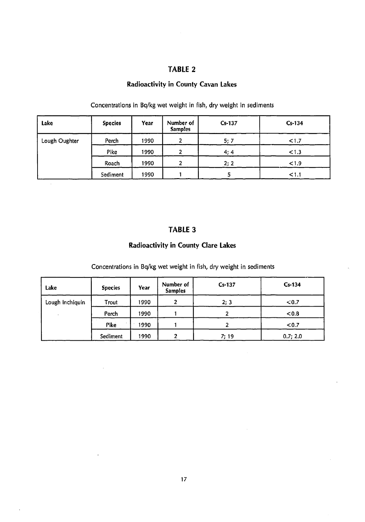### **Radioactivity in County Cavan Lakes**

| Lake          | <b>Species</b> | Year | Number of<br><b>Samples</b> | Cs-137 | $Cs-134$ |
|---------------|----------------|------|-----------------------------|--------|----------|
| Lough Oughter | Perch          | 1990 | 2                           | 5; 7   | < 1.7    |
|               | Pike           | 1990 | 2                           | 4;4    | < 1.3    |
|               | Roach          | 1990 | 2                           | 2; 2   | < 1.9    |
|               | Sediment       | 1990 |                             |        | < 1.1    |

Concentrations in Bq/kg wet weight in fish, dry weight in sediments

### **TABLE 3**

### **Radioactivity in County Clare Lakes**

Concentrations in Bq/kg wet weight in fish, dry weight in sediments

| Lake            | <b>Species</b> | Year | Number of<br><b>Samples</b> | $Cs-137$ | $Cs-134$   |
|-----------------|----------------|------|-----------------------------|----------|------------|
| Lough Inchiquin | Trout          | 1990 |                             | 2; 3     | $\leq 0.7$ |
|                 | Perch          | 1990 |                             | י        | < 0.8      |
|                 | Pike           | 1990 |                             |          | < 0.7      |
|                 | Sediment       | 1990 | າ                           | 7: 19    | 0.7; 2.0   |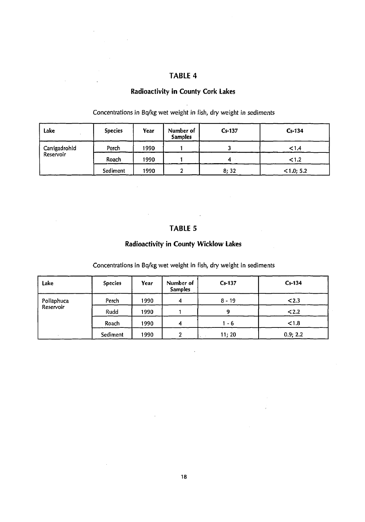### **Radioactivity in County Cork Lakes**

| Lake          | <b>Species</b> | Year | Number of<br><b>Samples</b> | $Cs-137$ | $Cs-134$   |
|---------------|----------------|------|-----------------------------|----------|------------|
| Carrigadrohid | Perch          | 1990 |                             |          | 1.4        |
| Reservoir     | Roach          | 1990 |                             | 4        | < 1.2      |
|               | Sediment       | 1990 | ∽<br>£                      | 8;32     | < 1.0; 5.2 |

Concentrations in Bq/kg wet weight in fish, dry weight in sediments

# **TABLE 5**

 $\bar{ }$ 

### **Radioactivity in County Wicklow Lakes**

Concentrations in Bq/kg wet weight in fish, dry weight in sediments

| Lake       | <b>Species</b> | Year | Number of<br><b>Samples</b> | $Cs-137$ | $Cs-134$ |
|------------|----------------|------|-----------------------------|----------|----------|
| Pollaphuca | Perch          | 1990 | 4                           | $8 - 19$ | < 2.3    |
| Reservoir  | Rudd           | 1990 |                             | 9        | 2.2      |
|            | Roach          | 1990 | 4                           | 1 - 6    | < 1.8    |
|            | Sediment       | 1990 | 2                           | 11; 20   | 0.9; 2.2 |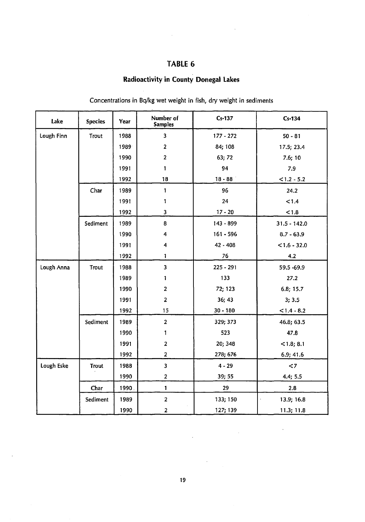$\hat{\boldsymbol{\beta}}$ 

# **Radioactivity in County Donegal Lakes**

| Lake       | <b>Species</b> | Year  | Number of<br><b>Samples</b> | $Cs-137$    | $Cs-134$       |
|------------|----------------|-------|-----------------------------|-------------|----------------|
| Lough Finn | Trout<br>1988  |       | $\overline{\mathbf{3}}$     | $177 - 272$ | $50 - 81$      |
|            |                | 1989  | $\mathbf 2$                 | 84; 108     | 17.5; 23.4     |
|            |                | 1990  | $\overline{\mathbf{2}}$     | 63; 72      | 7.6;10         |
|            |                | 1991  | $\mathbf{1}$                | 94          | 7.9            |
|            |                | 1992  | 18                          | $18 - 88$   | $< 1.2 - 5.2$  |
|            | Char           | 1989  | $\mathbf{1}$                | 96          | 24.2           |
|            |                | 1991  | 1                           | 24          | < 1.4          |
|            |                | 1992  | 3                           | $17 - 20$   | < 1.8          |
|            | Sediment       | 1989  | 8                           | 143 - 899   | $31.5 - 142.0$ |
|            |                | 1990  | 4                           | $161 - 596$ | $8.7 - 63.9$   |
|            |                | 1991  | 4                           | 42 - 408    | $< 1.6 - 32.0$ |
|            |                | 1992  | 1                           | 76          | 4.2            |
| Lough Anna | Trout          | 1988  | $\overline{\mathbf{3}}$     | $225 - 291$ | 59.5 -69.9     |
|            |                | 1989  | 1                           | 133         | 27.2           |
|            |                | 1990  | $\overline{\mathbf{c}}$     | 72; 123     | 6.8; 15.7      |
|            |                | 1991  | $\mathbf{2}$                | 36; 43      | 3; 3.5         |
|            |                | 1992  | 15                          | $30 - 180$  | $< 1.4 - 8.2$  |
|            | Sediment       | 1989  | $\overline{\mathbf{2}}$     | 329; 373    | 46.8; 63.5     |
|            |                | 1990  | 1                           | 523         | 47.8           |
|            |                | 1991  | $\mathbf{z}$                | 20; 348     | $<$ 1.8; 8.1   |
|            |                | 1992  | $\mathbf{z}$                | 278; 676    | 6.9; 41.6      |
| Lough Eske | <b>Trout</b>   | 1988  | $\overline{\mathbf{3}}$     | $4 - 29$    | $\leq 7$       |
|            |                | 1990  | $\mathbf{2}$                | 39; 55      | 4.4; 5.5       |
|            | Char           | 1990. | $\mathbf{1}$                | 29          | 2.8            |
|            | Sediment       | 1989  | $\overline{a}$              | 133; 150    | 13.9; 16.8     |
|            |                | 1990  | $\mathbf{z}$                | 127; 139    | 11.3; 11.8     |

### Concentrations in Bq/kg wet weight in fish, dry weight in sediments

19

 $\overline{\phantom{a}}$ 

 $\label{eq:2.1} \frac{1}{\sqrt{2}}\int_{\mathbb{R}^3}\frac{1}{\sqrt{2}}\left(\frac{1}{\sqrt{2}}\right)^2\frac{1}{\sqrt{2}}\left(\frac{1}{\sqrt{2}}\right)^2\frac{1}{\sqrt{2}}\left(\frac{1}{\sqrt{2}}\right)^2.$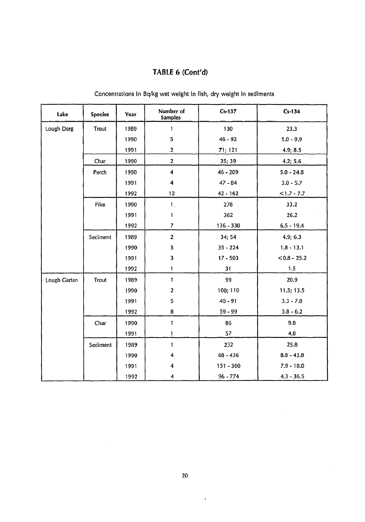# **TABLE 6 (Cont'd)**

| Lake         | <b>Species</b> | Year | Number of<br><b>Samples</b> | $Cs-137$    | $Cs - 134$     |
|--------------|----------------|------|-----------------------------|-------------|----------------|
| Lough Derg   | <b>Trout</b>   | 1989 | 1                           | 130         | 23.3           |
|              |                | 1990 | ${\mathbf 5}$               | $46 - 92$   | $5.0 - 9.9$    |
|              |                | 1991 | $\overline{\mathbf{c}}$     | 71; 121     | 4.9; 8.5       |
|              | Char           | 1990 | $\mathbf 2$                 | 35; 39      | 4.2; 5.6       |
|              | Perch          | 1990 | 4                           | $46 - 209$  | $5.0 - 24.8$   |
|              |                | 1991 | 4                           | $47 - 84$   | $3.0 - 5.7$    |
|              |                | 1992 | 12                          | $42 - 162$  | $<1.7 - 7.7$   |
|              | Pike           | 1990 | $\mathbf{1}$                | 278         | 33,2           |
|              |                | 1991 | 1                           | 362         | 26.2           |
|              |                | 1992 | $\overline{7}$              | $136 - 330$ | $6.5 - 19.4$   |
|              | Sediment       | 1989 | $\overline{2}$              | 34; 54      | 4.9; 6.3       |
|              |                | 1990 | 5                           | $35 - 224$  | $1.8 - 13.1$   |
|              |                | 1991 | $\overline{\mathbf{3}}$     | $17 - 503$  | $< 0.8 - 25.2$ |
|              |                | 1992 | 1                           | 31          | 1.5            |
| Lough Gartan | Trout          | 1989 | 1                           | 99          | 20.9           |
|              |                | 1990 | $\overline{\mathbf{2}}$     | 100; 110    | 11.5; 13.5     |
|              |                | 1991 | $\mathbf 5$                 | $40 - 91$   | $3.3 - 7.8$    |
|              |                | 1992 | $\bf{8}$                    | 59 - 99     | $3.8 - 6.2$    |
|              | Char           | 1990 | 1                           | 86          | 9.8            |
|              |                | 1991 | 1                           | 57          | 4,8            |
|              | Sediment       | 1989 | $\mathbf{1}$                | 232         | 25.8           |
|              |                | 1990 | 4                           | $68 - 436$  | $8.8 - 43.8$   |
|              |                | 1991 | 4                           | $151 - 360$ | $7.9 - 18.0$   |
|              |                | 1992 | 4                           | $96 - 774$  | $4.3 - 36.5$   |

Concentrations in Bq/kg wet weight in fish, dry weight in sediments

 $\hat{\mathbf{r}}$ 

 $\bar{\beta}$ 

 $\sim 10^{-1}$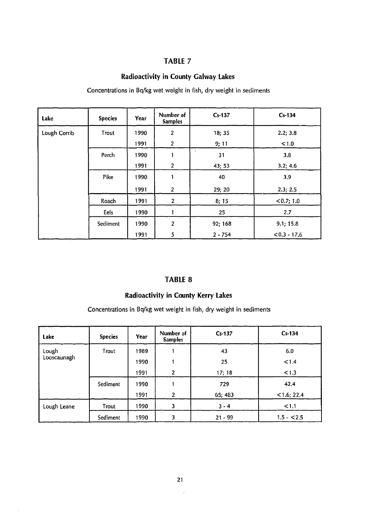### **Radioactivity in County Galway Lakes**

Concentrations in Bq/kg wet weight in fish, dry weight in sediments

| Lake         | <b>Species</b> | Year | Number of<br><b>Samples</b> | $Cs-137$        | $Cs-134$       |
|--------------|----------------|------|-----------------------------|-----------------|----------------|
| Lough Corrib | Trout          | 1990 | $\overline{2}$              | 18; 35          | 2.2; 3.8       |
|              |                | 1991 | $\overline{2}$              | 9;11            | < 1.0          |
|              | Perch          | 1990 |                             | $\bullet$<br>31 | 3.8            |
|              |                | 1991 | $\mathbf{2}$                | 43; 53          | 3.2; 4.6       |
|              | Pike           | 1990 |                             | 40              | 3.9            |
|              |                | 1991 | $\mathbf{2}$                | 29; 20          | 2.3; 2.5       |
|              | Roach          | 1991 | $\overline{2}$              | 8; 15           | < 0.7; 1.0     |
|              | Eels           | 1990 |                             | 25              | 2.7            |
|              | Sediment       | 1990 | $\overline{2}$              | 92; 168         | 9.1; 15.8      |
|              |                | 1991 | 5                           | $2 - 754$       | $< 0.3 - 17.6$ |

### **TABLE 8**

### **Radioactivity in County Kerry Lakes**

Concentrations in Bq/kg wet weight in fish, dry weight in sediments

| Lake        | <b>Species</b> | Year | Number of<br><b>Samples</b> | $Cs-137$  | $Cs-134$      |
|-------------|----------------|------|-----------------------------|-----------|---------------|
| Lough       | Trout          | 1989 |                             | 43        | 6.0           |
| Looscaunagh |                | 1990 |                             | 25        | < 1.4         |
|             |                | 1991 | $\overline{2}$              | 17; 18    | 1.3           |
|             | Sediment       | 1990 |                             | 729       | 42.4          |
|             |                | 1991 | $\overline{2}$              | 65; 483   | $<$ 1.6; 22.4 |
| Lough Leane | Trout          | 1990 | 3                           | $3 - 4$   | < 1.1         |
|             | Sediment       | 1990 | 3                           | $21 - 99$ | $1.5 - 2.5$   |

 $\hat{\mathbf{r}}$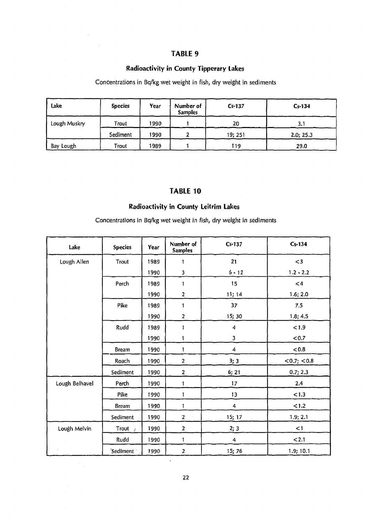$\hat{\mathcal{A}}$ 

### **Radioactivity in County Tipperary Lakes**

### Concentrations in Bq/kg wet weight in fish, dry weight in sediments

| Lake         | <b>Species</b> | Year | Number of<br><b>Samples</b> | $Cs-137$ | $Cs-134$  |
|--------------|----------------|------|-----------------------------|----------|-----------|
| Lough Muskry | Trout          | 1990 |                             | 20       | 3.1       |
|              | Sediment       | 1990 | ີ                           | 19; 251  | 2.0; 25.3 |
| Bay Lough    | Trout          | 1989 |                             | 119      | 29.0      |

### **TABLE 10**

### **Radioactivity in County Leitrim Lakes**

Concentrations in Bq/kg wet weight in fish, dry weight in sediments

| Lake           | <b>Species</b>      | Year | Number of<br><b>Samples</b> | $Cs-137$                | $Cs-134$         |
|----------------|---------------------|------|-----------------------------|-------------------------|------------------|
| Lough Allen    | Trout               | 1989 | 1                           | 21                      | $<$ 3            |
|                |                     | 1990 | $\mathbf{3}$                | $6 - 12$                | $1.2 - 2.2$      |
|                | Perch               | 1989 | 1                           | 15                      | $\leq 4$         |
|                |                     | 1990 | $\overline{2}$              | 11; 14                  | 1.6; 2.0         |
|                | Pike                | 1989 | 1                           | 37                      | 7.5              |
|                |                     | 1990 | $\overline{2}$              | 15; 30                  | 1.8; 4.5         |
|                | Rudd                | 1989 | 1                           | 4                       | < 1.9            |
|                |                     | 1990 | 1                           | 3                       | < 0.7            |
|                | <b>Bream</b>        | 1990 | 1                           | 4                       | &0.8             |
|                | Roach               | 1990 | $\overline{2}$              | 3;3                     | $<$ 0.7; $<$ 0.8 |
|                | Sediment            | 1990 | $\mathbf{2}$                | 6:21                    | 0.7; 2.3         |
| Lough Belhavel | Perch               | 1990 | 1                           | 17                      | 2.4              |
|                | Pike                | 1990 | 1                           | 13                      | < 1.3            |
|                | <b>Bream</b>        | 1990 | $\mathbf{1}$                | 4                       | 1.2              |
|                | Sediment            | 1990 | $\mathbf{2}$                | 15; 17                  | 1.9; 2.1         |
| Lough Melvin   | Trout $\rightarrow$ | 1990 | $\mathbf{2}$                | 2; 3                    | < 1              |
|                | Rudd                | 1990 | $\mathbf{1}$                | $\overline{\mathbf{4}}$ | < 2.1            |
|                | Sediment            | 1990 | $\overline{2}$              | 15; 76                  | 1.9; 10.1        |

 $\cdot$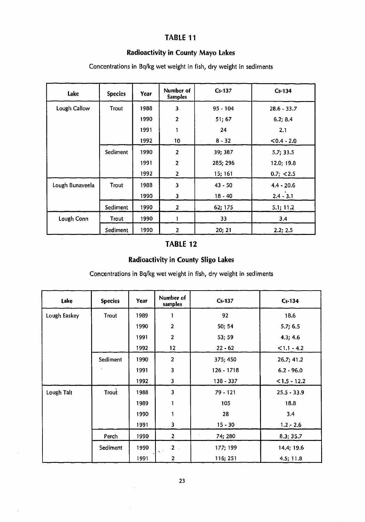### **Radioactivity in County Mayo Lakes**

| Lake            | <b>Species</b> | <b>Year</b> | Number of<br><b>Samples</b> | $Cs-137$   | $Cs-134$      |
|-----------------|----------------|-------------|-----------------------------|------------|---------------|
| Lough Callow    | Trout          | 1988        | 3                           | $95 - 104$ | $28.6 - 33.7$ |
|                 |                | 1990        | $\overline{2}$              | 51;67      | 6.2; 8.4      |
|                 |                | 1991        | 1                           | 24         | 2.1           |
|                 |                | 1992        | 10                          | $8 - 32$   | $< 0.4 - 2.0$ |
|                 | Sediment       | 1990        | $\overline{2}$              | 39; 387    | 5.7; 33.5     |
|                 |                | 1991        | $\overline{c}$              | 285; 296   | 12.0; 19.8    |
|                 |                | 1992        | $\overline{\mathbf{c}}$     | 15; 161    | 0.7; < 2.5    |
| Lough Bunaveela | Trout          | 1988        | $\overline{\mathbf{3}}$     | $43 - 50$  | $4.4 - 20.6$  |
|                 |                | 1990        | 3                           | $18 - 40$  | $2.4 - 3.1$   |
|                 | Sediment       | 1990        | $\mathbf{2}$                | 62; 175    | 5.1; 11.2     |
| Lough Conn      | Trout          | 1990        |                             | 33         | 3,4           |
|                 | Sediment       | 1990        | $\boldsymbol{2}$            | 20; 21     | 2.2; 2.5      |

Concentrations in Bq/kg wet weight in fish, dry weight in sediments

### **TABLE 12**

### **Radioactivity in County Sligo Lakes**

Concentrations in Bq/kg wet weight in fish, dry weight in sediments

| Lake         | <b>Species</b> | Year | Number of<br>samples    | $Cs-137$     | $Cs-134$       |
|--------------|----------------|------|-------------------------|--------------|----------------|
| Lough Easkey | Trout          | 1989 |                         | 92           | 18.6           |
|              |                | 1990 | $\boldsymbol{2}$        | 50; 54       | 5.7; 6.5       |
|              |                | 1991 | $\overline{2}$          | 53; 59       | 4.3; 4.6       |
|              |                | 1992 | 12                      | $22 - 62$    | $< 1.1 - 4.2$  |
|              | Sediment       | 1990 | $\overline{\mathbf{c}}$ | 375; 450     | 26.7; 41.2     |
|              |                | 1991 | 3                       | $126 - 1718$ | $6.2 - 96.0$   |
|              |                | 1992 | 3                       | 138 - 337    | $< 1.5 - 12.2$ |
| Lough Talt   | Trout          | 1988 | $\overline{\mathbf{3}}$ | $79 - 121$   | $25.5 - 33.9$  |
|              |                | 1989 |                         | 105          | 18.8           |
|              |                | 1990 | 1                       | 28           | 3.4            |
|              |                | 1991 | 3                       | $15 - 30$    | $1.2 - 2.6$    |
|              | Perch          | 1990 | $\overline{2}$          | 74; 280      | 8.3; 35.7      |
|              | Sediment       | 1990 | $2 -$<br>$\infty$ .     | 177; 199     | 14.4; 19.6     |
|              |                | 1991 | $\overline{2}$          | 116; 251     | 4.5; 11.8      |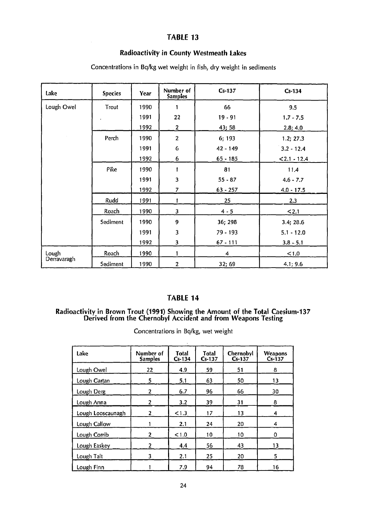### **Radioactivity in County Westmeath Lakes**

| Lake                 | <b>Species</b> | Year | Number of<br><b>Samples</b> | $Cs-137$       | $Cs-134$     |
|----------------------|----------------|------|-----------------------------|----------------|--------------|
| Lough Owel           | Trout          | 1990 |                             | 66             | 9.5          |
|                      | ٠              | 1991 | 22                          | $19 - 91$      | $1.7 - 7.5$  |
|                      |                | 1992 | $\overline{2}$              | 43;58          | 2.8; 4.0     |
|                      | Perch          | 1990 | $\overline{2}$              | 6; 193         | 1.2; 27.3    |
|                      |                | 1991 | G                           | 42 - 149       | $3.2 - 12.4$ |
|                      |                | 1992 | 6                           | $65 - 185$     | $2.1 - 12.4$ |
|                      | Pike           | 1990 |                             | 81             | 11.4         |
|                      |                | 1991 | 3                           | $55 - 87$      | $4.6 - 7.7$  |
|                      |                | 1992 | $\overline{7}$              | $63 - 257$     | $4.0 - 17.5$ |
|                      | Rudd           | 1991 |                             | 25             | 2,3          |
|                      | Roach          | 1990 | 3                           | $4 - 5$        | 2.1          |
|                      | Sediment       | 1990 | 9                           | 36; 298        | 3.4; 28.6    |
|                      |                | 1991 | 3                           | 79 - 193       | $5.1 - 12.0$ |
|                      |                | 1992 | 3                           | $67 - 111$     | $3.8 - 5.1$  |
| Lough<br>Derravaragh | Roach          | 1990 | 1                           | $\overline{4}$ | < 1.0        |
|                      | Sediment       | 1990 | $\overline{2}$              | 32; 69         | 4.1; 9.6     |

Concentrations in Bq/kg wet weight in fish, dry weight in sediments

# **TABLE 14**

#### **Radioactivity in Brown Trout (1991) Showing the Amount of the Total Caesium-137 Derived from the Chernobyl Accident and from Weapons Testing**

Concentrations in Bq/kg, wet weight  $\ddot{\phantom{a}}$ 

| Lake              | Number of<br><b>Samples</b> | <b>Total</b><br>$Cs-134$ | <b>Total</b><br>$Cs-137$ | Chernobyl<br>$Cs-137$ | <b>Weapons</b><br>$Cs-137$ |
|-------------------|-----------------------------|--------------------------|--------------------------|-----------------------|----------------------------|
| Lough Owel        | 22                          | 4.9                      | 59                       | 51                    | 8                          |
| Lough Gartan      | 5                           | 5.1                      | 63                       | 50                    | 13                         |
| Lough Derg        | 2                           | 6.7                      | 96                       | 66                    | 30                         |
| Lough Anna        | 2                           | 3.2                      | 39                       | 31                    | 8                          |
| Lough Looscaunagh | 2                           | < 1.3                    | 17                       | 13                    | 4                          |
| Lough Callow      |                             | 2.1                      | 24                       | 20                    | 4                          |
| Lough Corrib      | 2                           | < 1.0                    | 10                       | $-10$                 | 0                          |
| Lough Easkey      | 2                           | 4.4                      | 56                       | 43                    | 13                         |
| Lough Talt        | 3                           | 2.1                      | 25                       | 20                    | 5                          |
| Lough Finn        |                             | 7.9                      | 94                       | 78                    | 16                         |